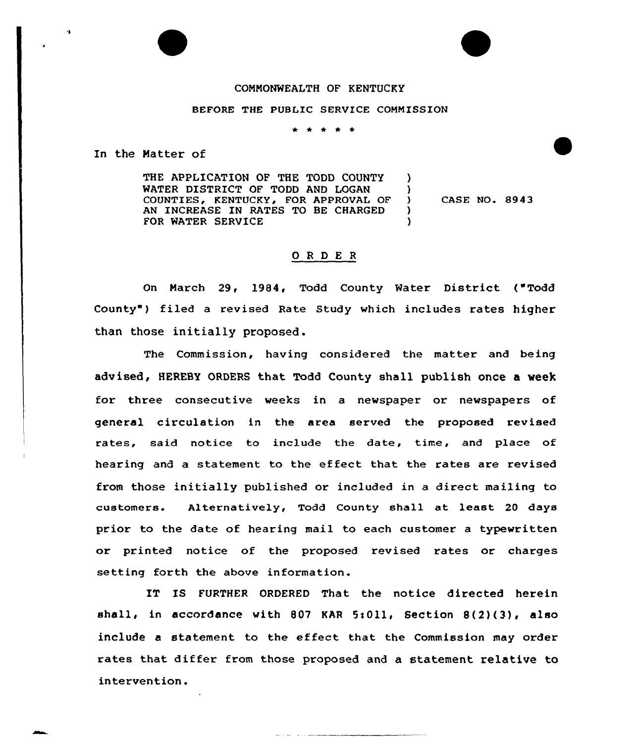## COMMONWEALTH OF KENTUCKY

## BEFORE THE PUBLIC SERVICE COMMISSION

\* \* \* \* \*

In the Matter of

THE APPLICATION OF THE TODD COUNTY WATER DISTRICT OF TODD AND LOGAN COUNTIES, KENTUCKY, FOR APPROVAL OF AN INCREASE lN RATES TO BE CHARGED FOR WATER SERVICE )  $\left\{ \right\}$  $\mathcal{L}$ )

) CASE NO. 8943

## 0 <sup>R</sup> <sup>D</sup> E <sup>R</sup>

On March 29, 1984, Todd County Water District ("Todd County") filed a revised Rate Study which includes rates higher than those initially proposed.

The Commission, having considered the matter and being advised, HEREBY ORDERS that Todd County shall publish once a week for three consecutive weeks in a newspapex or newspapers of general cix'culation in the area served the proposed revised rates, said notice to include the date, time, and place of hearing and a statement to the effect that the rates are revised from those initially published or included in a direct mailing to customers. Alternatively, Todd County shall at least 20 days prior to the date of hearing mail to each customer a typewritten or printed notice of the proposed revised rates or charges setting forth the above information.

IT IS FURTHER ORDERED That the notice directed herein shall, in accordance with 807 KAR 5:011, Section  $8(2)(3)$ , also include a statement to the effeet that the Commission may order rates that differ from those proposed and a statement relative to intervention.